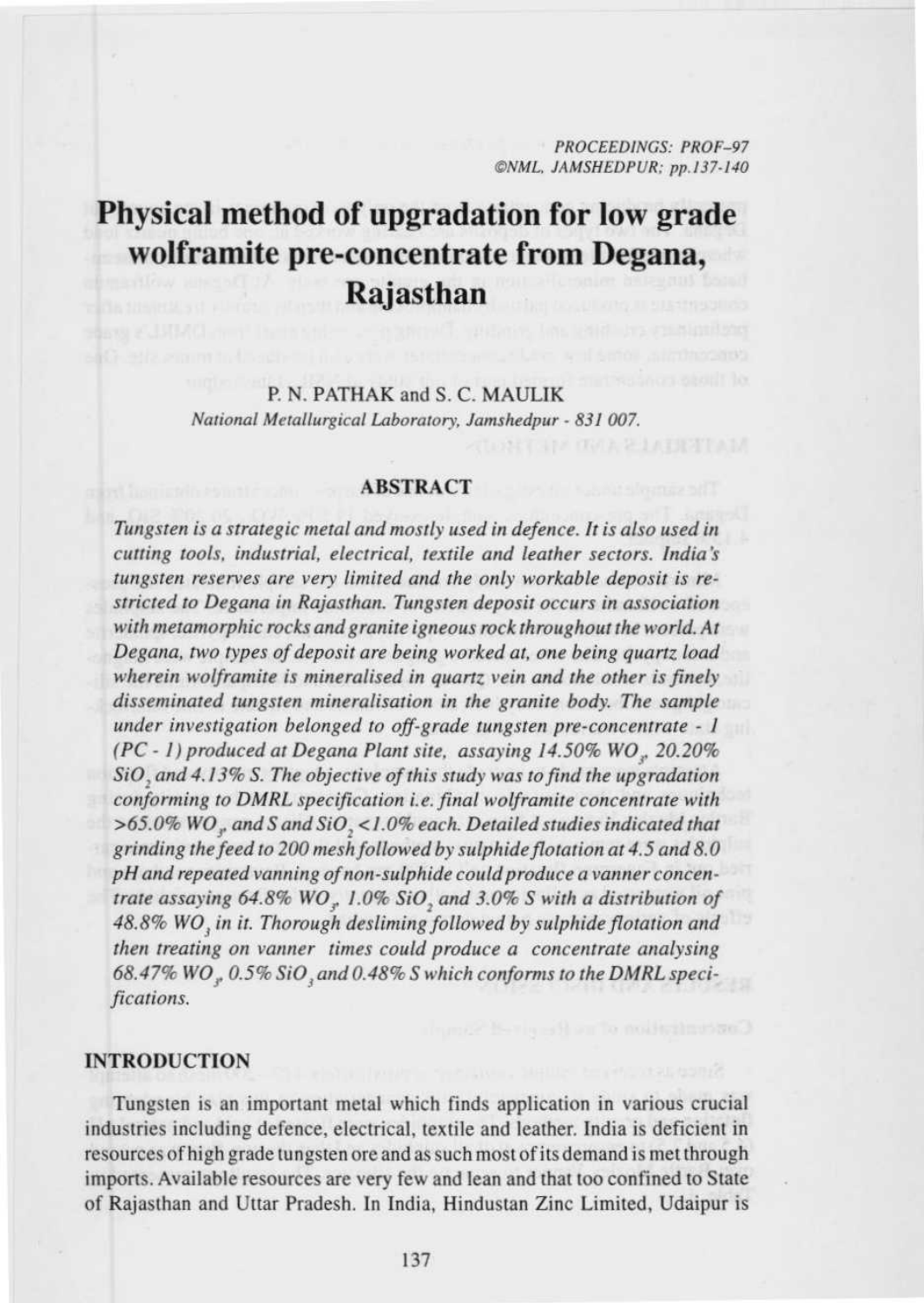*PROCEEDINGS: PROF-97 ©NML. JAMSHEDPUR; pp.137.140*

# Physical method of upgradation for low grade **wolframite pre-concentrate from Degana, Rajasthan**

# P. N. PATHAK **and S** . C. MAULIK *National Metallurgical Laboratory, Jamshedpur - 831 007.*

#### ABSTRACT

*Tungsten is a strategic metal and mostly used in defence. It is also used in cutting tools, industrial, electrical, textile and leather sectors. India's tungsten reserves are very limited and the only workable deposit is restricted to Degana in Rajasthan. Tungsten deposit occurs in association with metamorphic rocks and granite igneous rock throughout the world.* At *Degana, two types of deposit are being worked at, one being quartz load wherein wolframite is mineralised in quartz vein and the other is finely disseminated tungsten mineralisation in the granite body. The sample under investigation belonged to off-grade tungsten pre-concentrate - I (PC - I) produced at Degana Plant site, assaying 14.50% WO,. 20.20% SiO, and 4.13% S. The objective of* this *study* was *to find the upgradation conforming to DMRL specification i.e. final wolframite concentrate* with *>65.0% W03. and S and SiO, <1.0% each. Detailed studies indicated that grinding the feed to 200 mesh followed by sulphide flotation* at 4.5 *and 8.0 pH and repeated vanning of non-sulphide could produce a vanner concentrate* assaying 64.8% *WO,, 1.0% SiO, and 3.0%* S with *a distribution of* 48.8% WO<sub>3</sub> in it. Thorough desliming followed by sulphide flotation and *then treating on vanner times could produce a concentrate* analysing 68.47% WO<sub>n</sub>, 0.5% SiO<sub>,</sub> and 0.48% S which conforms to the DMRL speci*fications.*

#### INTRODUCTION

Tungsten is **an important metal which** finds application **in various crucial** industries including defence, electrical **, textile and** leather. **India is** deficient in resources of high grade **tungsten** ore and as such most of its demand is met through imports. Available resources are very few **and lean and** that too confined to State of Rajasthan and Uttar Pradesh. **In India**, Hindustan Zinc Limited, Udaipur is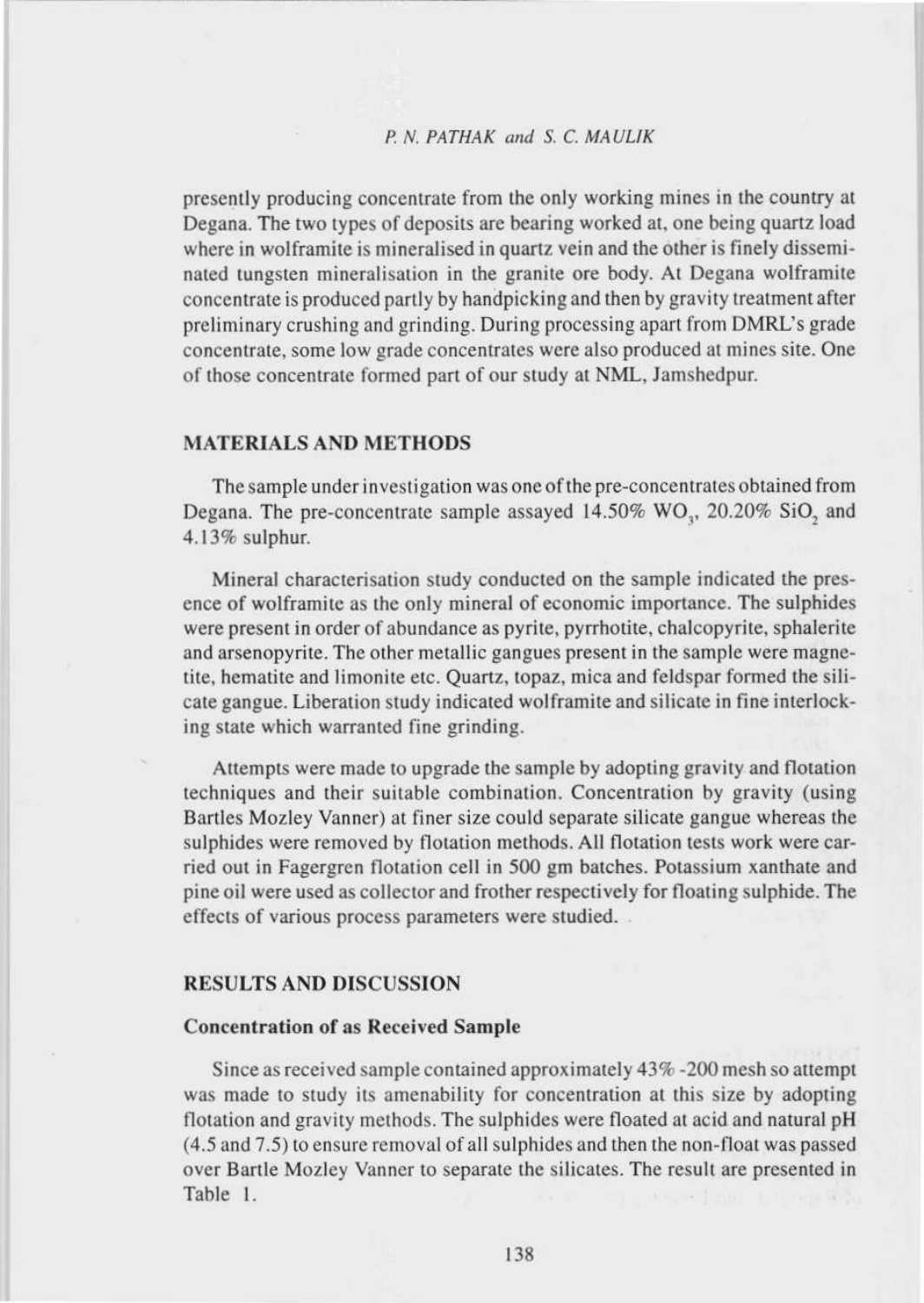# *P. N. PATHAK and S. C. MAUI,IK*

**presently producing concentrate from the only working mines in the country at Degana. The two types of deposits are bearing worked at. one being quartz load where in wolframite is mineralised in quartz vein and the other is finely disseminated tungsten mineralisation in the granite ore body. At Degana wolframite concentrate is produced partly by handpicking and then by gravity treatment after preliminary crushing and** grinding **. During** processing **apart from** DMRL**'s grade concentrate**, **some low grade concentrates were also produced at mines site. One of those concentrate formed part of our study** at NML **, Jamshedpur.**

#### MATERIALS AND METHODS

**The sample under investigation was one of the pre-concentrates obtained from Degana**. **The pre-concentrate sample assayed** 14.50% WO, 20.20% **SiO, and 4.13% sulphur.**

Mineral characterisation study conducted on the sample indicated the presence of wolframite as the only mineral of economic importance. The sulphides were present in order of abundance as pyrite, pyrrhotite, chalcopyrite, sphalerite and arsenopyrite. The other metallic gangues present in the sample were magnetite, hematite and limonite etc. Quartz, topaz, mica and feldspar formed the silicate gangue. Liberation study indicated wolframite and silicate in fine interlocking state which warranted fine grinding.

Attempts were made to upgrade the sample by adopting gravity and flotation techniques and their suitable combination. Concentration by gravity (using Bartles Mozley Vanner) at finer size could separate silicate gangue whereas the sulphides were removed by flotation methods. All flotation tests work were carried out in Fagergren flotation cell in 500 gm hatches. Potassium xanthate and pine oil were used as collector and frother respectively for floating sulphide. The effects of various process parameters were studied.

#### **RESULTS AND DISCUSSION**

#### **Concentration of as Received Sample**

Since as received sample contained approximately 43% -200 mesh so attempt was made to study its amenability for concentration at this size by adopting flotation and gravity methods. The sulphides were floated at acid and natural pH (4.5 and 7.5) to ensure removal of all sulphides and then the non-float was passed over Bartle Mozley Vanner to separate the silicates. The result are presented in Table 1.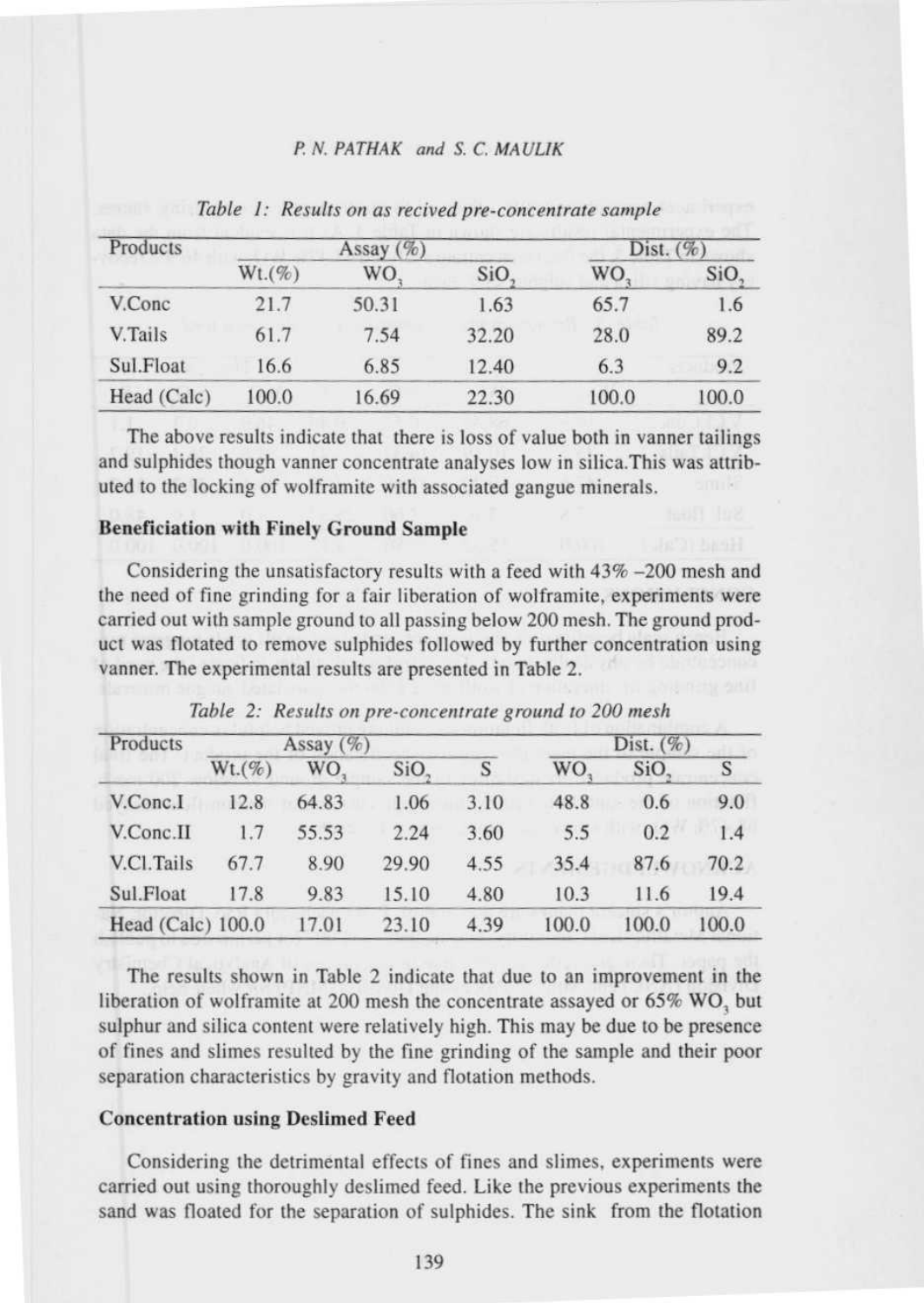# P Al. PATHAK **and S**. C. MAULIK

| Products    |              | Assay $(\%)$ | Dist. $(\%)$ |       |       |
|-------------|--------------|--------------|--------------|-------|-------|
|             | $Wt.$ $(\%)$ | WO.          | SiO.         | WO.   | SiO.  |
| V.Conc      | 21.7         | 50.31        | 1.63         | 65.7  | 1.6   |
| V.Tails     | 61.7         | 7.54         | 32.20        | 28.0  | 89.2  |
| Sul.Float   | 16.6         | 6.85         | 12.40        | 6.3   | 9.2   |
| Head (Calc) | 100.0        | 16.69        | 22.30        | 100.0 | 100.0 |

*Table 1: Results on as recived pre-concentrate sample*

The above **results indicate that there is loss of value both in vanner tailings and sulphides** though **vanner concentrate analyses low in silica** .This was **attributed to** the locking of **wolframite with associated gangue minerals.**

### **Beneficiation with Finely Ground Sample**

Considering the unsatisfactory results with a feed with  $43\%$  -200 mesh and the need of fine grinding for a fair liberation of wolframite, experiments were carried out with sample ground to all passing below 200 mesh. The ground product was flotated to remove sulphides followed by further concentration using vanner. The experimental results are presented in Table 2.

| Products            |        | Assay (%) |       |      | Dist. $(\%)$ |       |       |
|---------------------|--------|-----------|-------|------|--------------|-------|-------|
|                     | Wt.(%) | WO.       | SiO.  | S    | WO.          | SiO.  | S     |
| V.Conc.I            | 12.8   | 64.83     | 1.06  | 3.10 | 48.8         | 0.6   | 9.0   |
| V.Conc.II           | 1.7    | 55.53     | 2.24  | 3.60 | 5.5          | 0.2   | 1.4   |
| V.Cl.Tails          | 67.7   | 8.90      | 29.90 | 4.55 | 35.4         | 87.6  | 70.2  |
| Sul.Float           | 17.8   | 9.83      | 15.10 | 4.80 | 10.3         | 11.6  | 19.4  |
| Head $(Calc)$ 100.0 |        | 17.01     | 23.10 | 4.39 | 100.0        | 100.0 | 100.0 |

*Table 2: Results on pre-concentrate ground to 200 mesh*

The results shown in Table 2 indicate that due to an improvement in the liberation of wolframite at 200 mesh the concentrate assayed or *65%* WO, but sulphur and silica content were relatively high. This may be due to be presence of fines and slimes resulted by the fine grinding of the sample and their poor separation characteristics by gravity and flotation methods.

#### Concentration **using** Deslimed Feed

Considering the detrimental effects of fines and slimes, experiments were carried out using thoroughly deslimed feed. Like the previous experiments the sand was floated for the separation of sulphides. The sink from the flotation